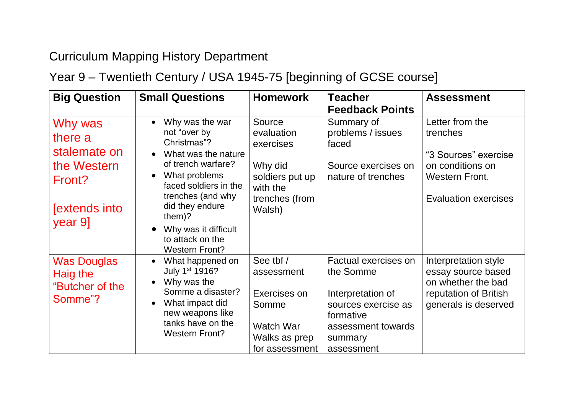## Curriculum Mapping History Department

## Year 9 – Twentieth Century / USA 1945-75 [beginning of GCSE course]

| <b>Big Question</b>                                                                            | <b>Small Questions</b>                                                                                                                                                                                                                                                                                               | <b>Homework</b>                                                                                         | <b>Teacher</b><br><b>Feedback Points</b>                                                                                                  | <b>Assessment</b>                                                                                                               |
|------------------------------------------------------------------------------------------------|----------------------------------------------------------------------------------------------------------------------------------------------------------------------------------------------------------------------------------------------------------------------------------------------------------------------|---------------------------------------------------------------------------------------------------------|-------------------------------------------------------------------------------------------------------------------------------------------|---------------------------------------------------------------------------------------------------------------------------------|
| Why was<br>there a<br>stalemate on<br>the Western<br>Front?<br><b>Sextends into</b><br>year 9] | Why was the war<br>$\bullet$<br>not "over by<br>Christmas"?<br>What was the nature<br>$\bullet$<br>of trench warfare?<br>What problems<br>$\bullet$<br>faced soldiers in the<br>trenches (and why<br>did they endure<br>them $)$ ?<br>Why was it difficult<br>$\bullet$<br>to attack on the<br><b>Western Front?</b> | Source<br>evaluation<br>exercises<br>Why did<br>soldiers put up<br>with the<br>trenches (from<br>Walsh) | Summary of<br>problems / issues<br>faced<br>Source exercises on<br>nature of trenches                                                     | Letter from the<br>trenches<br>"3 Sources" exercise<br>on conditions on<br><b>Western Front.</b><br><b>Evaluation exercises</b> |
| <b>Was Douglas</b><br>Haig the<br>"Butcher of the<br>Somme"?                                   | What happened on<br>$\bullet$<br>July 1 <sup>st</sup> 1916?<br>Why was the<br>$\bullet$<br>Somme a disaster?<br>What impact did<br>$\bullet$<br>new weapons like<br>tanks have on the<br><b>Western Front?</b>                                                                                                       | See tbf /<br>assessment<br>Exercises on<br>Somme<br><b>Watch War</b><br>Walks as prep<br>for assessment | Factual exercises on<br>the Somme<br>Interpretation of<br>sources exercise as<br>formative<br>assessment towards<br>summary<br>assessment | Interpretation style<br>essay source based<br>on whether the bad<br>reputation of British<br>generals is deserved               |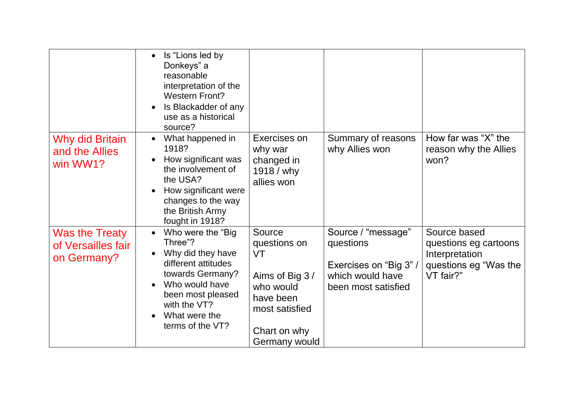|                                                     | Is "Lions led by<br>$\bullet$<br>Donkeys" a<br>reasonable<br>interpretation of the<br><b>Western Front?</b><br>Is Blackadder of any<br>use as a historical<br>source?                                  |                                                                                                                              |                                                                                                      |                                                                                               |
|-----------------------------------------------------|--------------------------------------------------------------------------------------------------------------------------------------------------------------------------------------------------------|------------------------------------------------------------------------------------------------------------------------------|------------------------------------------------------------------------------------------------------|-----------------------------------------------------------------------------------------------|
| Why did Britain<br>and the Allies<br>win WW1?       | What happened in<br>$\bullet$<br>1918?<br>How significant was<br>the involvement of<br>the USA?<br>How significant were<br>changes to the way<br>the British Army<br>fought in 1918?                   | Exercises on<br>why war<br>changed in<br>1918 / why<br>allies won                                                            | Summary of reasons<br>why Allies won                                                                 | How far was "X" the<br>reason why the Allies<br>won?                                          |
| Was the Treaty<br>of Versailles fair<br>on Germany? | Who were the "Big"<br>Three"?<br>Why did they have<br>$\bullet$<br>different attitudes<br>towards Germany?<br>Who would have<br>been most pleased<br>with the VT?<br>What were the<br>terms of the VT? | Source<br>questions on<br>VT<br>Aims of Big 3 /<br>who would<br>have been<br>most satisfied<br>Chart on why<br>Germany would | Source / "message"<br>questions<br>Exercises on "Big 3" /<br>which would have<br>been most satisfied | Source based<br>questions eg cartoons<br>Interpretation<br>questions eg "Was the<br>VT fair?" |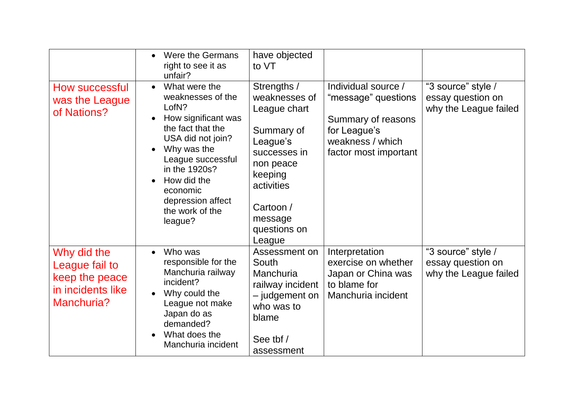|                                                                                    | Were the Germans<br>$\bullet$<br>right to see it as<br>unfair?                                                                                                                                                                                               | have objected<br>to VT                                                                                                                                                         |                                                                                                                               |                                                                  |
|------------------------------------------------------------------------------------|--------------------------------------------------------------------------------------------------------------------------------------------------------------------------------------------------------------------------------------------------------------|--------------------------------------------------------------------------------------------------------------------------------------------------------------------------------|-------------------------------------------------------------------------------------------------------------------------------|------------------------------------------------------------------|
| How successful<br>was the League<br>of Nations?                                    | What were the<br>$\bullet$<br>weaknesses of the<br>LofN?<br>How significant was<br>the fact that the<br>USA did not join?<br>Why was the<br>League successful<br>in the 1920s?<br>How did the<br>economic<br>depression affect<br>the work of the<br>league? | Strengths /<br>weaknesses of<br>League chart<br>Summary of<br>League's<br>successes in<br>non peace<br>keeping<br>activities<br>Cartoon /<br>message<br>questions on<br>League | Individual source /<br>"message" questions<br>Summary of reasons<br>for League's<br>weakness / which<br>factor most important | "3 source" style /<br>essay question on<br>why the League failed |
| Why did the<br>League fail to<br>keep the peace<br>in incidents like<br>Manchuria? | Who was<br>$\bullet$<br>responsible for the<br>Manchuria railway<br>incident?<br>Why could the<br>$\bullet$<br>League not make<br>Japan do as<br>demanded?<br>What does the<br>$\bullet$<br>Manchuria incident                                               | Assessment on<br>South<br>Manchuria<br>railway incident<br>- judgement on<br>who was to<br>blame<br>See tbf /<br>assessment                                                    | Interpretation<br>exercise on whether<br>Japan or China was<br>to blame for<br>Manchuria incident                             | "3 source" style /<br>essay question on<br>why the League failed |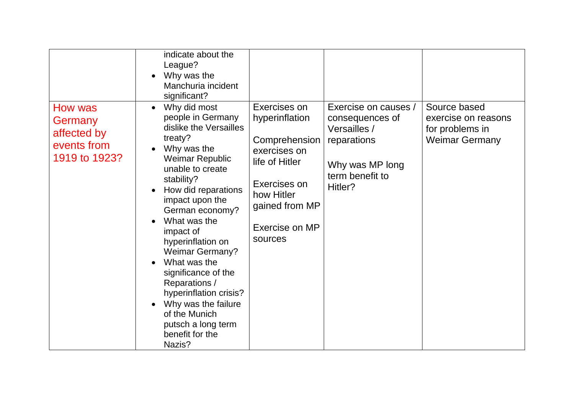|                                                                   | indicate about the<br>League?<br>Why was the<br>Manchuria incident<br>significant?                                                                                                                                                                                                                                                                                                                                                                                            |                                                                                                                                                                |                                                                                                                         |                                                                                 |
|-------------------------------------------------------------------|-------------------------------------------------------------------------------------------------------------------------------------------------------------------------------------------------------------------------------------------------------------------------------------------------------------------------------------------------------------------------------------------------------------------------------------------------------------------------------|----------------------------------------------------------------------------------------------------------------------------------------------------------------|-------------------------------------------------------------------------------------------------------------------------|---------------------------------------------------------------------------------|
| How was<br>Germany<br>affected by<br>events from<br>1919 to 1923? | Why did most<br>$\bullet$<br>people in Germany<br>dislike the Versailles<br>treaty?<br>Why was the<br>Weimar Republic<br>unable to create<br>stability?<br>How did reparations<br>impact upon the<br>German economy?<br>What was the<br>impact of<br>hyperinflation on<br><b>Weimar Germany?</b><br>What was the<br>significance of the<br>Reparations /<br>hyperinflation crisis?<br>Why was the failure<br>of the Munich<br>putsch a long term<br>benefit for the<br>Nazis? | Exercises on<br>hyperinflation<br>Comprehension<br>exercises on<br>life of Hitler<br>Exercises on<br>how Hitler<br>gained from MP<br>Exercise on MP<br>sources | Exercise on causes /<br>consequences of<br>Versailles /<br>reparations<br>Why was MP long<br>term benefit to<br>Hitler? | Source based<br>exercise on reasons<br>for problems in<br><b>Weimar Germany</b> |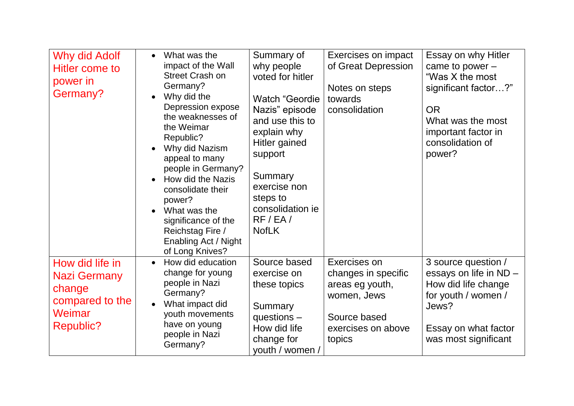| Why did Adolf<br>Hitler come to<br>power in<br>Germany?                                    | What was the<br>$\bullet$<br>impact of the Wall<br><b>Street Crash on</b><br>Germany?<br>Why did the<br>$\bullet$<br>Depression expose<br>the weaknesses of<br>the Weimar<br>Republic?<br>Why did Nazism<br>appeal to many<br>people in Germany?<br>How did the Nazis<br>consolidate their<br>power?<br>What was the<br>$\bullet$<br>significance of the<br>Reichstag Fire /<br>Enabling Act / Night<br>of Long Knives? | Summary of<br>why people<br>voted for hitler<br><b>Watch "Geordie</b><br>Nazis" episode<br>and use this to<br>explain why<br>Hitler gained<br>support<br>Summary<br>exercise non<br>steps to<br>consolidation ie<br>RF/EA/<br><b>NofLK</b> | Exercises on impact<br>of Great Depression<br>Notes on steps<br>towards<br>consolidation                              | Essay on why Hitler<br>came to power $-$<br>"Was X the most<br>significant factor?"<br><b>OR</b><br>What was the most<br>important factor in<br>consolidation of<br>power? |
|--------------------------------------------------------------------------------------------|-------------------------------------------------------------------------------------------------------------------------------------------------------------------------------------------------------------------------------------------------------------------------------------------------------------------------------------------------------------------------------------------------------------------------|--------------------------------------------------------------------------------------------------------------------------------------------------------------------------------------------------------------------------------------------|-----------------------------------------------------------------------------------------------------------------------|----------------------------------------------------------------------------------------------------------------------------------------------------------------------------|
| How did life in<br>Nazi Germany<br>change<br>compared to the<br><b>Weimar</b><br>Republic? | How did education<br>change for young<br>people in Nazi<br>Germany?<br>What impact did<br>youth movements<br>have on young<br>people in Nazi<br>Germany?                                                                                                                                                                                                                                                                | Source based<br>exercise on<br>these topics<br>Summary<br>questions $-$<br>How did life<br>change for<br>youth / women /                                                                                                                   | Exercises on<br>changes in specific<br>areas eg youth,<br>women, Jews<br>Source based<br>exercises on above<br>topics | 3 source question /<br>essays on life in ND -<br>How did life change<br>for youth / women /<br>Jews?<br>Essay on what factor<br>was most significant                       |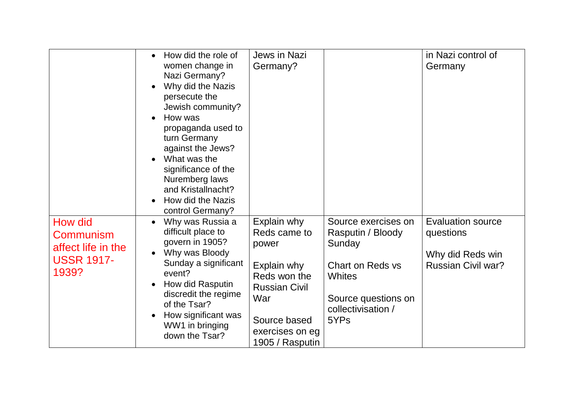|                                                                          | How did the role of<br>women change in<br>Nazi Germany?<br>Why did the Nazis<br>persecute the<br>Jewish community?<br>How was<br>$\bullet$<br>propaganda used to<br>turn Germany<br>against the Jews?<br>What was the<br>$\bullet$<br>significance of the<br>Nuremberg laws<br>and Kristallnacht?<br>How did the Nazis<br>control Germany? | <b>Jews in Nazi</b><br>Germany?                                                                                                                          |                                                                                                                                              | in Nazi control of<br>Germany                                                          |
|--------------------------------------------------------------------------|--------------------------------------------------------------------------------------------------------------------------------------------------------------------------------------------------------------------------------------------------------------------------------------------------------------------------------------------|----------------------------------------------------------------------------------------------------------------------------------------------------------|----------------------------------------------------------------------------------------------------------------------------------------------|----------------------------------------------------------------------------------------|
| How did<br>Communism<br>affect life in the<br><b>USSR 1917-</b><br>1939? | Why was Russia a<br>$\bullet$<br>difficult place to<br>govern in 1905?<br>Why was Bloody<br>Sunday a significant<br>event?<br>How did Rasputin<br>discredit the regime<br>of the Tsar?<br>How significant was<br>$\bullet$<br>WW1 in bringing<br>down the Tsar?                                                                            | Explain why<br>Reds came to<br>power<br>Explain why<br>Reds won the<br><b>Russian Civil</b><br>War<br>Source based<br>exercises on eg<br>1905 / Rasputin | Source exercises on<br>Rasputin / Bloody<br>Sunday<br>Chart on Reds vs<br><b>Whites</b><br>Source questions on<br>collectivisation /<br>5YPs | <b>Evaluation source</b><br>questions<br>Why did Reds win<br><b>Russian Civil war?</b> |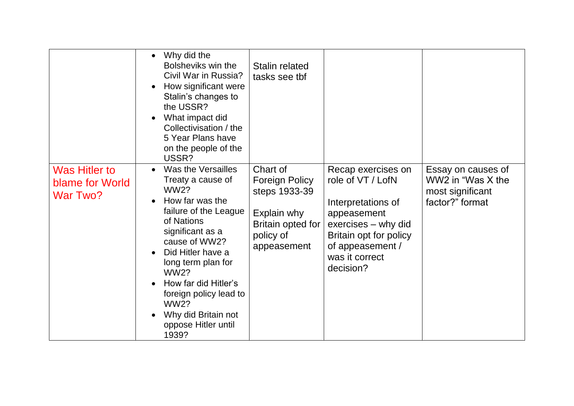|                                                     | Why did the<br>$\bullet$<br>Bolsheviks win the<br>Civil War in Russia?<br>How significant were<br>Stalin's changes to<br>the USSR?<br>What impact did<br>Collectivisation / the<br>5 Year Plans have<br>on the people of the<br>USSR?                                                                                                   | <b>Stalin related</b><br>tasks see tbf                                                                             |                                                                                                                                                                                  |                                                                                |
|-----------------------------------------------------|-----------------------------------------------------------------------------------------------------------------------------------------------------------------------------------------------------------------------------------------------------------------------------------------------------------------------------------------|--------------------------------------------------------------------------------------------------------------------|----------------------------------------------------------------------------------------------------------------------------------------------------------------------------------|--------------------------------------------------------------------------------|
| <b>Was Hitler to</b><br>blame for World<br>War Two? | Was the Versailles<br>Treaty a cause of<br><b>WW2?</b><br>How far was the<br>failure of the League<br>of Nations<br>significant as a<br>cause of WW2?<br>Did Hitler have a<br>long term plan for<br><b>WW2?</b><br>How far did Hitler's<br>foreign policy lead to<br><b>WW2?</b><br>Why did Britain not<br>oppose Hitler until<br>1939? | Chart of<br><b>Foreign Policy</b><br>steps 1933-39<br>Explain why<br>Britain opted for<br>policy of<br>appeasement | Recap exercises on<br>role of VT / LofN<br>Interpretations of<br>appeasement<br>exercises – why did<br>Britain opt for policy<br>of appeasement /<br>was it correct<br>decision? | Essay on causes of<br>WW2 in "Was X the<br>most significant<br>factor?" format |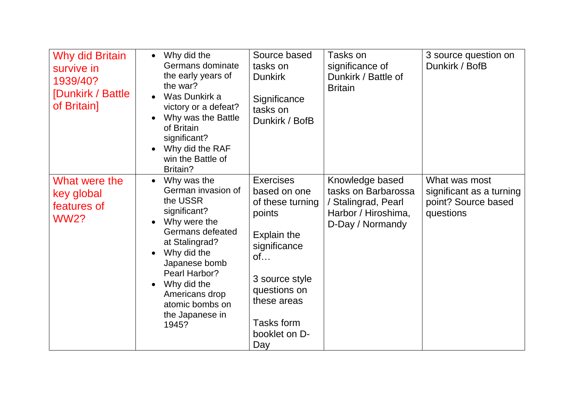| <b>Why did Britain</b><br>survive in<br>1939/40?<br>[Dunkirk / Battle<br>of Britain] | • Why did the<br>Germans dominate<br>the early years of<br>the war?<br>Was Dunkirk a<br>victory or a defeat?<br>Why was the Battle<br>of Britain<br>significant?<br>Why did the RAF<br>win the Battle of<br>Britain?                                                                        | Source based<br>tasks on<br><b>Dunkirk</b><br>Significance<br>tasks on<br>Dunkirk / BofB                                                                                                   | Tasks on<br>significance of<br>Dunkirk / Battle of<br><b>Britain</b>                                     | 3 source question on<br>Dunkirk / BofB                                        |
|--------------------------------------------------------------------------------------|---------------------------------------------------------------------------------------------------------------------------------------------------------------------------------------------------------------------------------------------------------------------------------------------|--------------------------------------------------------------------------------------------------------------------------------------------------------------------------------------------|----------------------------------------------------------------------------------------------------------|-------------------------------------------------------------------------------|
| What were the<br>key global<br>features of<br><b>WW2?</b>                            | Why was the<br>$\bullet$<br>German invasion of<br>the USSR<br>significant?<br>Why were the<br>Germans defeated<br>at Stalingrad?<br>Why did the<br>$\bullet$<br>Japanese bomb<br>Pearl Harbor?<br>Why did the<br>$\bullet$<br>Americans drop<br>atomic bombs on<br>the Japanese in<br>1945? | <b>Exercises</b><br>based on one<br>of these turning<br>points<br>Explain the<br>significance<br>of<br>3 source style<br>questions on<br>these areas<br>Tasks form<br>booklet on D-<br>Day | Knowledge based<br>tasks on Barbarossa<br>/ Stalingrad, Pearl<br>Harbor / Hiroshima,<br>D-Day / Normandy | What was most<br>significant as a turning<br>point? Source based<br>questions |